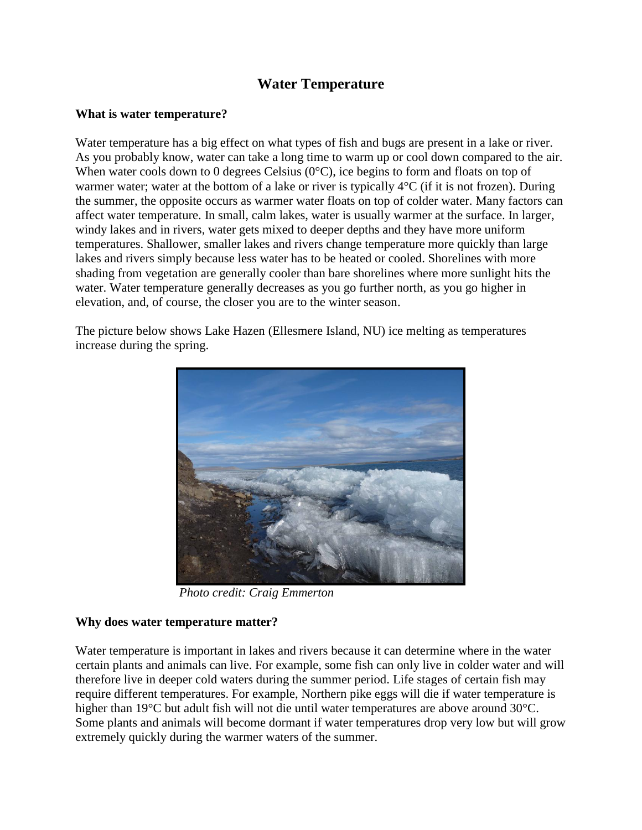# **Water Temperature**

## **What is water temperature?**

Water temperature has a big effect on what types of fish and bugs are present in a lake or river. As you probably know, water can take a long time to warm up or cool down compared to the air. When water cools down to 0 degrees Celsius (0°C), ice begins to form and floats on top of warmer water; water at the bottom of a lake or river is typically  $4^{\circ}C$  (if it is not frozen). During the summer, the opposite occurs as warmer water floats on top of colder water. Many factors can affect water temperature. In small, calm lakes, water is usually warmer at the surface. In larger, windy lakes and in rivers, water gets mixed to deeper depths and they have more uniform temperatures. Shallower, smaller lakes and rivers change temperature more quickly than large lakes and rivers simply because less water has to be heated or cooled. Shorelines with more shading from vegetation are generally cooler than bare shorelines where more sunlight hits the water. Water temperature generally decreases as you go further north, as you go higher in elevation, and, of course, the closer you are to the winter season.

The picture below shows Lake Hazen (Ellesmere Island, NU) ice melting as temperatures increase during the spring.



*Photo credit: Craig Emmerton*

#### **Why does water temperature matter?**

Water temperature is important in lakes and rivers because it can determine where in the water certain plants and animals can live. For example, some fish can only live in colder water and will therefore live in deeper cold waters during the summer period. Life stages of certain fish may require different temperatures. For example, Northern pike eggs will die if water temperature is higher than 19°C but adult fish will not die until water temperatures are above around 30°C. Some plants and animals will become dormant if water temperatures drop very low but will grow extremely quickly during the warmer waters of the summer.